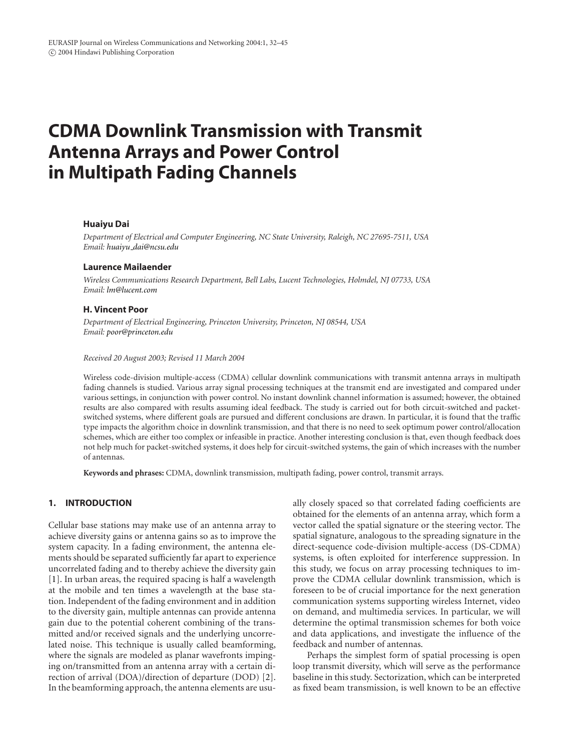# **CDMA Downlink Transmission with Transmit Antenna Arrays and Power Control in Multipath Fading Channels**

## **Huaiyu Dai**

*Department of Electrical and Computer Engineering, NC State University, Raleigh, NC 27695-7511, USA Email: huaiyu [dai@ncsu.edu](mailto:huaiyu_dai@ncsu.edu)*

### **Laurence Mailaender**

*Wireless Communications Research Department, Bell Labs, Lucent Technologies, Holmdel, NJ 07733, USA Email: [lm@lucent.com](mailto:lm@lucent.com)*

### **H. Vincent Poor**

*Department of Electrical Engineering, Princeton University, Princeton, NJ 08544, USA Email: [poor@princeton.edu](mailto:poor@princeton.edu)*

#### *Received 20 August 2003; Revised 11 March 2004*

Wireless code-division multiple-access (CDMA) cellular downlink communications with transmit antenna arrays in multipath fading channels is studied. Various array signal processing techniques at the transmit end are investigated and compared under various settings, in conjunction with power control. No instant downlink channel information is assumed; however, the obtained results are also compared with results assuming ideal feedback. The study is carried out for both circuit-switched and packetswitched systems, where different goals are pursued and different conclusions are drawn. In particular, it is found that the traffic type impacts the algorithm choice in downlink transmission, and that there is no need to seek optimum power control/allocation schemes, which are either too complex or infeasible in practice. Another interesting conclusion is that, even though feedback does not help much for packet-switched systems, it does help for circuit-switched systems, the gain of which increases with the number of antennas.

**Keywords and phrases:** CDMA, downlink transmission, multipath fading, power control, transmit arrays.

# **1. INTRODUCTION**

Cellular base stations may make use of an antenna array to achieve diversity gains or antenna gains so as to improve the system capacity. In a fading environment, the antenna elements should be separated sufficiently far apart to experience uncorrelated fading and to thereby achieve the diversity gain [\[1](#page-12-0)]. In urban areas, the required spacing is half a wavelength at the mobile and ten times a wavelength at the base station. Independent of the fading environment and in addition to the diversity gain, multiple antennas can provide antenna gain due to the potential coherent combining of the transmitted and/or received signals and the underlying uncorrelated noise. This technique is usually called beamforming, where the signals are modeled as planar wavefronts impinging on/transmitted from an antenna array with a certain direction of arrival (DOA)/direction of departure (DOD) [\[2\]](#page-12-1). In the beamforming approach, the antenna elements are usu-

ally closely spaced so that correlated fading coefficients are obtained for the elements of an antenna array, which form a vector called the spatial signature or the steering vector. The spatial signature, analogous to the spreading signature in the direct-sequence code-division multiple-access (DS-CDMA) systems, is often exploited for interference suppression. In this study, we focus on array processing techniques to improve the CDMA cellular downlink transmission, which is foreseen to be of crucial importance for the next generation communication systems supporting wireless Internet, video on demand, and multimedia services. In particular, we will determine the optimal transmission schemes for both voice and data applications, and investigate the influence of the feedback and number of antennas.

Perhaps the simplest form of spatial processing is open loop transmit diversity, which will serve as the performance baseline in this study. Sectorization, which can be interpreted as fixed beam transmission, is well known to be an effective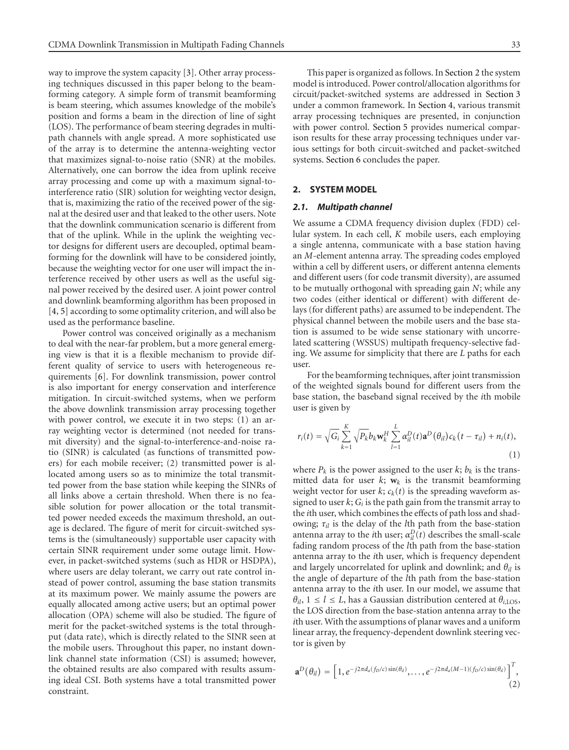way to improve the system capacity [\[3](#page-12-2)]. Other array processing techniques discussed in this paper belong to the beamforming category. A simple form of transmit beamforming is beam steering, which assumes knowledge of the mobile's position and forms a beam in the direction of line of sight (LOS). The performance of beam steering degrades in multipath channels with angle spread. A more sophisticated use of the array is to determine the antenna-weighting vector that maximizes signal-to-noise ratio (SNR) at the mobiles. Alternatively, one can borrow the idea from uplink receive array processing and come up with a maximum signal-tointerference ratio (SIR) solution for weighting vector design, that is, maximizing the ratio of the received power of the signal at the desired user and that leaked to the other users. Note that the downlink communication scenario is different from that of the uplink. While in the uplink the weighting vector designs for different users are decoupled, optimal beamforming for the downlink will have to be considered jointly, because the weighting vector for one user will impact the interference received by other users as well as the useful signal power received by the desired user. A joint power control and downlink beamforming algorithm has been proposed in [\[4](#page-12-3), [5\]](#page-12-4) according to some optimality criterion, and will also be used as the performance baseline.

Power control was conceived originally as a mechanism to deal with the near-far problem, but a more general emerging view is that it is a flexible mechanism to provide different quality of service to users with heterogeneous requirements [\[6](#page-12-5)]. For downlink transmission, power control is also important for energy conservation and interference mitigation. In circuit-switched systems, when we perform the above downlink transmission array processing together with power control, we execute it in two steps: (1) an array weighting vector is determined (not needed for transmit diversity) and the signal-to-interference-and-noise ratio (SINR) is calculated (as functions of transmitted powers) for each mobile receiver; (2) transmitted power is allocated among users so as to minimize the total transmitted power from the base station while keeping the SINRs of all links above a certain threshold. When there is no feasible solution for power allocation or the total transmitted power needed exceeds the maximum threshold, an outage is declared. The figure of merit for circuit-switched systems is the (simultaneously) supportable user capacity with certain SINR requirement under some outage limit. However, in packet-switched systems (such as HDR or HSDPA), where users are delay tolerant, we carry out rate control instead of power control, assuming the base station transmits at its maximum power. We mainly assume the powers are equally allocated among active users; but an optimal power allocation (OPA) scheme will also be studied. The figure of merit for the packet-switched systems is the total throughput (data rate), which is directly related to the SINR seen at the mobile users. Throughout this paper, no instant downlink channel state information (CSI) is assumed; however, the obtained results are also compared with results assuming ideal CSI. Both systems have a total transmitted power constraint.

This paper is organized as follows. In [Section 2](#page-1-0) the system model is introduced. Power control/allocation algorithms for circuit/packet-switched systems are addressed in [Section 3](#page-3-0) under a common framework. In [Section 4,](#page-4-0) various transmit array processing techniques are presented, in conjunction with power control. [Section 5](#page-7-0) provides numerical comparison results for these array processing techniques under various settings for both circuit-switched and packet-switched systems. [Section 6](#page-11-0) concludes the paper.

#### <span id="page-1-0"></span>**2. SYSTEM MODEL**

#### *2.1. Multipath channel*

We assume a CDMA frequency division duplex (FDD) cellular system. In each cell, *K* mobile users, each employing a single antenna, communicate with a base station having an *M*-element antenna array. The spreading codes employed within a cell by different users, or different antenna elements and different users (for code transmit diversity), are assumed to be mutually orthogonal with spreading gain *N*; while any two codes (either identical or different) with different delays (for different paths) are assumed to be independent. The physical channel between the mobile users and the base station is assumed to be wide sense stationary with uncorrelated scattering (WSSUS) multipath frequency-selective fading. We assume for simplicity that there are *L* paths for each user.

<span id="page-1-1"></span>For the beamforming techniques, after joint transmission of the weighted signals bound for different users from the base station, the baseband signal received by the *i*th mobile user is given by

$$
r_i(t) = \sqrt{G_i} \sum_{k=1}^{K} \sqrt{P_k} b_k \mathbf{w}_k^H \sum_{l=1}^{L} \alpha_{il}^D(t) \mathbf{a}^D(\theta_{il}) c_k(t - \tau_{il}) + n_i(t),
$$
\n(1)

where  $P_k$  is the power assigned to the user  $k$ ;  $b_k$  is the transmitted data for user  $k$ ;  $w_k$  is the transmit beamforming weight vector for user  $k$ ;  $c_k(t)$  is the spreading waveform assigned to user  $k$ ;  $G_i$  is the path gain from the transmit array to the *i*th user, which combines the effects of path loss and shadowing; *τil* is the delay of the *l*th path from the base-station antenna array to the *i*th user;  $\alpha_{il}^{D}(t)$  describes the small-scale fading random process of the *l*th path from the base-station antenna array to the *i*th user, which is frequency dependent and largely uncorrelated for uplink and downlink; and *θil* is the angle of departure of the *l*th path from the base-station antenna array to the *i*th user. In our model, we assume that  $\theta_{il}$ ,  $1 \leq l \leq L$ , has a Gaussian distribution centered at  $\theta_{i,LOS}$ , the LOS direction from the base-station antenna array to the *i*th user. With the assumptions of planar waves and a uniform linear array, the frequency-dependent downlink steering vector is given by

<span id="page-1-2"></span>
$$
\mathbf{a}^D(\theta_{il}) = \left[1, e^{-j2\pi d_a(f_D/c)\sin(\theta_{il})}, \ldots, e^{-j2\pi d_a(M-1)(f_D/c)\sin(\theta_{il})}\right]^T, \tag{2}
$$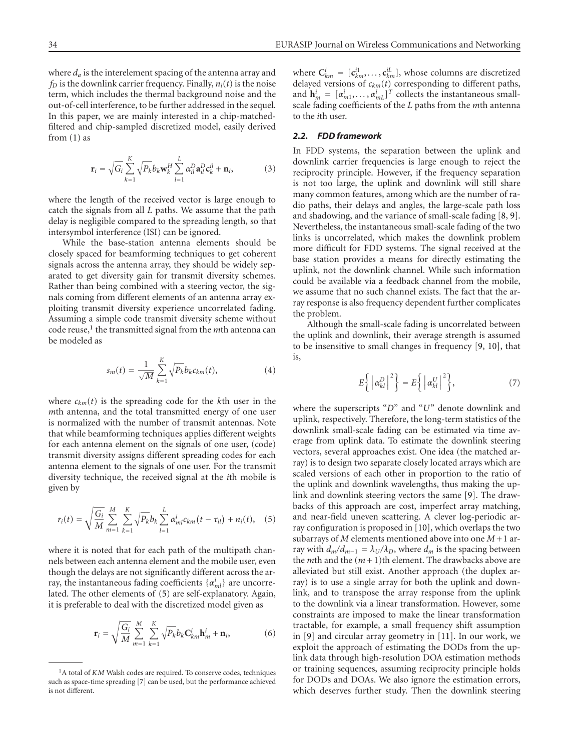<span id="page-2-1"></span>where *da* is the interelement spacing of the antenna array and  $f_D$  is the downlink carrier frequency. Finally,  $n_i(t)$  is the noise term, which includes the thermal background noise and the out-of-cell interference, to be further addressed in the sequel. In this paper, we are mainly interested in a chip-matchedfiltered and chip-sampled discretized model, easily derived from  $(1)$  as

$$
\mathbf{r}_{i} = \sqrt{G_{i}} \sum_{k=1}^{K} \sqrt{P_{k}} b_{k} \mathbf{w}_{k}^{H} \sum_{l=1}^{L} \alpha_{il}^{D} \mathbf{a}_{il}^{D} \mathbf{c}_{k}^{il} + \mathbf{n}_{i},
$$
(3)

where the length of the received vector is large enough to catch the signals from all *L* paths. We assume that the path delay is negligible compared to the spreading length, so that intersymbol interference (ISI) can be ignored.

While the base-station antenna elements should be closely spaced for beamforming techniques to get coherent signals across the antenna array, they should be widely separated to get diversity gain for transmit diversity schemes. Rather than being combined with a steering vector, the signals coming from different elements of an antenna array exploiting transmit diversity experience uncorrelated fading. Assuming a simple code transmit diversity scheme without code reuse,<sup>1</sup> the transmitted signal from the *m*th antenna can be modeled as

$$
s_m(t) = \frac{1}{\sqrt{M}} \sum_{k=1}^{K} \sqrt{P_k} b_k c_{km}(t), \qquad (4)
$$

where  $c_{km}(t)$  is the spreading code for the *k*th user in the *m*th antenna, and the total transmitted energy of one user is normalized with the number of transmit antennas. Note that while beamforming techniques applies different weights for each antenna element on the signals of one user, (code) transmit diversity assigns different spreading codes for each antenna element to the signals of one user. For the transmit diversity technique, the received signal at the *i*th mobile is given by

<span id="page-2-0"></span>
$$
r_i(t) = \sqrt{\frac{G_i}{M}} \sum_{m=1}^{M} \sum_{k=1}^{K} \sqrt{P_k} b_k \sum_{l=1}^{L} \alpha_{ml}^i c_{km} (t - \tau_{il}) + n_i(t), \quad (5)
$$

where it is noted that for each path of the multipath channels between each antenna element and the mobile user, even though the delays are not significantly different across the array, the instantaneous fading coefficients  $\{\alpha^i_{ml}\}$  are uncorrelated. The other elements of [\(5\)](#page-2-0) are self-explanatory. Again, it is preferable to deal with the discretized model given as

<span id="page-2-2"></span>
$$
\mathbf{r}_{i} = \sqrt{\frac{G_{i}}{M}} \sum_{m=1}^{M} \sum_{k=1}^{K} \sqrt{P_{k}} b_{k} \mathbf{C}_{km}^{i} \mathbf{h}_{m}^{i} + \mathbf{n}_{i},
$$
(6)

where  $\mathbf{C}_{km}^i = [\mathbf{c}_{km}^{i1}, \dots, \mathbf{c}_{km}^{iL}]$ , whose columns are discretized delayed versions of  $c_{km}(t)$  corresponding to different paths, and  $\mathbf{h}_m^i = [\alpha_{m1}^i, \dots, \alpha_{mL}^i]^T$  collects the instantaneous smallscale fading coefficients of the *L* paths from the *m*th antenna to the *i*th user.

# <span id="page-2-3"></span>*2.2. FDD framework*

In FDD systems, the separation between the uplink and downlink carrier frequencies is large enough to reject the reciprocity principle. However, if the frequency separation is not too large, the uplink and downlink will still share many common features, among which are the number of radio paths, their delays and angles, the large-scale path loss and shadowing, and the variance of small-scale fading [\[8,](#page-13-0) [9](#page-13-1)]. Nevertheless, the instantaneous small-scale fading of the two links is uncorrelated, which makes the downlink problem more difficult for FDD systems. The signal received at the base station provides a means for directly estimating the uplink, not the downlink channel. While such information could be available via a feedback channel from the mobile, we assume that no such channel exists. The fact that the array response is also frequency dependent further complicates the problem.

Although the small-scale fading is uncorrelated between the uplink and downlink, their average strength is assumed to be insensitive to small changes in frequency [\[9](#page-13-1), [10](#page-13-2)], that is,

$$
E\left\{ \left| \alpha_{kl}^D \right|^2 \right\} = E\left\{ \left| \alpha_{kl}^U \right|^2 \right\},\tag{7}
$$

where the superscripts "*D*" and "*U*" denote downlink and uplink, respectively. Therefore, the long-term statistics of the downlink small-scale fading can be estimated via time average from uplink data. To estimate the downlink steering vectors, several approaches exist. One idea (the matched array) is to design two separate closely located arrays which are scaled versions of each other in proportion to the ratio of the uplink and downlink wavelengths, thus making the uplink and downlink steering vectors the same [\[9](#page-13-1)]. The drawbacks of this approach are cost, imperfect array matching, and near-field uneven scattering. A clever log-periodic array configuration is proposed in [\[10](#page-13-2)], which overlaps the two subarrays of *M* elements mentioned above into one *M* +1 array with  $d_m/d_{m-1} = \lambda_U/\lambda_D$ , where  $d_m$  is the spacing between the *m*th and the  $(m + 1)$ th element. The drawbacks above are alleviated but still exist. Another approach (the duplex array) is to use a single array for both the uplink and downlink, and to transpose the array response from the uplink to the downlink via a linear transformation. However, some constraints are imposed to make the linear transformation tractable, for example, a small frequency shift assumption in [\[9](#page-13-1)] and circular array geometry in [\[11\]](#page-13-3). In our work, we exploit the approach of estimating the DODs from the uplink data through high-resolution DOA estimation methods or training sequences, assuming reciprocity principle holds for DODs and DOAs. We also ignore the estimation errors, which deserves further study. Then the downlink steering

<sup>&</sup>lt;sup>1</sup>A total of *KM* Walsh codes are required. To conserve codes, techniques such as space-time spreading [\[7](#page-12-6)] can be used, but the performance achieved is not different.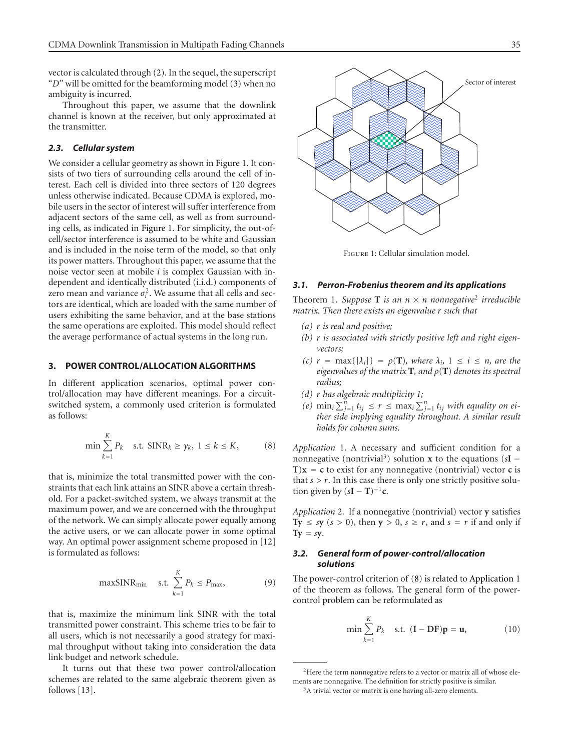vector is calculated through [\(2\)](#page-1-2). In the sequel, the superscript "*D*" will be omitted for the beamforming model [\(3\)](#page-2-1) when no ambiguity is incurred.

Throughout this paper, we assume that the downlink channel is known at the receiver, but only approximated at the transmitter.

## *2.3. Cellular system*

We consider a cellular geometry as shown in [Figure 1.](#page-3-1) It consists of two tiers of surrounding cells around the cell of interest. Each cell is divided into three sectors of 120 degrees unless otherwise indicated. Because CDMA is explored, mobile users in the sector of interest will suffer interference from adjacent sectors of the same cell, as well as from surrounding cells, as indicated in [Figure 1.](#page-3-1) For simplicity, the out-ofcell/sector interference is assumed to be white and Gaussian and is included in the noise term of the model, so that only its power matters. Throughout this paper, we assume that the noise vector seen at mobile *i* is complex Gaussian with independent and identically distributed (i.i.d.) components of zero mean and variance  $\sigma_i^2$ . We assume that all cells and sectors are identical, which are loaded with the same number of users exhibiting the same behavior, and at the base stations the same operations are exploited. This model should reflect the average performance of actual systems in the long run.

## <span id="page-3-0"></span>**3. POWER CONTROL/ALLOCATION ALGORITHMS**

<span id="page-3-2"></span>In different application scenarios, optimal power control/allocation may have different meanings. For a circuitswitched system, a commonly used criterion is formulated as follows:

$$
\min \sum_{k=1}^{K} P_k \quad \text{s.t. } \text{SINR}_k \ge \gamma_k, \ 1 \le k \le K, \tag{8}
$$

that is, minimize the total transmitted power with the constraints that each link attains an SINR above a certain threshold. For a packet-switched system, we always transmit at the maximum power, and we are concerned with the throughput of the network. We can simply allocate power equally among the active users, or we can allocate power in some optimal way. An optimal power assignment scheme proposed in [\[12](#page-13-4)] is formulated as follows:

<span id="page-3-5"></span>
$$
\max \text{SINR}_{\min} \quad \text{s.t.} \quad \sum_{k=1}^{K} P_k \le P_{\max}, \tag{9}
$$

that is, maximize the minimum link SINR with the total transmitted power constraint. This scheme tries to be fair to all users, which is not necessarily a good strategy for maximal throughput without taking into consideration the data link budget and network schedule.

It turns out that these two power control/allocation schemes are related to the same algebraic theorem given as follows [\[13\]](#page-13-5).



Figure 1: Cellular simulation model.

#### <span id="page-3-1"></span>*3.1. Perron-Frobenius theorem and its applications*

Theorem 1. *Suppose* **T** *is an*  $n \times n$  *nonnegative*<sup>2</sup> *irreducible matrix. Then there exists an eigenvalue r such that*

- *(a) r is real and positive;*
- *(b) r is associated with strictly positive left and right eigenvectors;*
- $f(c)$  *r* = max $\{|\lambda_i|\}$  =  $\rho(T)$ *, where*  $\lambda_i$ *,* 1  $\leq i \leq n$ *, are the eigenvalues of the matrix* **T***, and ρ*(**T**) *denotes its spectral radius;*
- *(d) r has algebraic multiplicity 1;*
- *(e)*  $\min_i \sum_{j=1}^n t_{ij} \leq r \leq \max_i \sum_{j=1}^n t_{ij}$  *with equality on either side implying equality throughout. A similar result holds for column sums.*

<span id="page-3-3"></span>*Application* 1. A necessary and sufficient condition for a nonnegative (nontrivial3) solution **<sup>x</sup>** to the equations (*s***<sup>I</sup>** <sup>−</sup>  $T$ **x** = **c** to exist for any nonnegative (nontrivial) vector **c** is that  $s > r$ . In this case there is only one strictly positive solution given by  $(sI - T)^{-1}c$ .

<span id="page-3-6"></span>*Application* 2. If a nonnegative (nontrivial) vector **y** satisfies **Ty**  $\leq$  *sy* (*s* > 0), then  $y$  > 0,  $s \geq r$ , and  $s = r$  if and only if  $Ty = sy$ .

# *3.2. General form of power-control/allocation solutions*

The power-control criterion of [\(8\)](#page-3-2) is related to [Application 1](#page-3-3) of the theorem as follows. The general form of the powercontrol problem can be reformulated as

<span id="page-3-4"></span>
$$
\min \sum_{k=1}^{K} P_k \quad \text{s.t. } (\mathbf{I} - \mathbf{D} \mathbf{F}) \mathbf{p} = \mathbf{u}, \tag{10}
$$

<sup>&</sup>lt;sup>2</sup>Here the term nonnegative refers to a vector or matrix all of whose elements are nonnegative. The definition for strictly positive is similar.

<sup>&</sup>lt;sup>3</sup>A trivial vector or matrix is one having all-zero elements.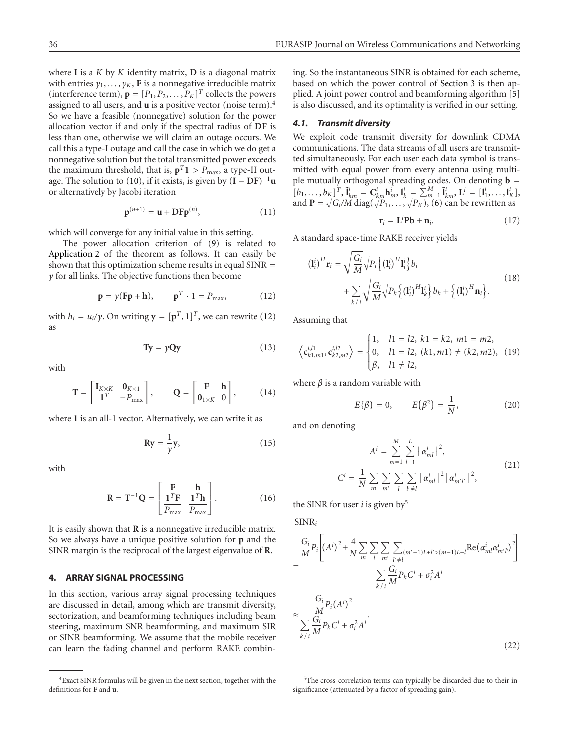where **I** is a *K* by *K* identity matrix, **D** is a diagonal matrix with entries  $\gamma_1, \ldots, \gamma_K$ , **F** is a nonnegative irreducible matrix (interference term),  $\mathbf{p} = [P_1, P_2, \dots, P_K]^T$  collects the powers assigned to all users, and **u** is a positive vector (noise term).4 So we have a feasible (nonnegative) solution for the power allocation vector if and only if the spectral radius of **DF** is less than one, otherwise we will claim an outage occurs. We call this a type-I outage and call the case in which we do get a nonnegative solution but the total transmitted power exceeds the maximum threshold, that is,  $p^T1 > P_{\text{max}}$ , a type-II out-age. The solution to [\(10\)](#page-3-4), if it exists, is given by  $(I - DF)^{-1}u$ or alternatively by Jacobi iteration

<span id="page-4-3"></span><span id="page-4-1"></span>
$$
\mathbf{p}^{(n+1)} = \mathbf{u} + \mathbf{D} \mathbf{F} \mathbf{p}^{(n)},\tag{11}
$$

which will converge for any initial value in this setting.

The power allocation criterion of [\(9\)](#page-3-5) is related to [Application 2](#page-3-6) of the theorem as follows. It can easily be shown that this optimization scheme results in equal SINR = *γ* for all links. The objective functions then become

$$
\mathbf{p} = \gamma(\mathbf{F}\mathbf{p} + \mathbf{h}), \qquad \mathbf{p}^T \cdot 1 = P_{\text{max}}, \tag{12}
$$

with  $h_i = u_i/\gamma$ . On writing  $\mathbf{y} = [\mathbf{p}^T, 1]^T$ , we can rewrite [\(12\)](#page-4-1) as

$$
Ty = \gamma Qy \tag{13}
$$

with

$$
\mathbf{T} = \begin{bmatrix} \mathbf{I}_{K \times K} & \mathbf{0}_{K \times 1} \\ \mathbf{1}^T & -P_{\text{max}} \end{bmatrix}, \qquad \mathbf{Q} = \begin{bmatrix} \mathbf{F} & \mathbf{h} \\ \mathbf{0}_{1 \times K} & 0 \end{bmatrix}, \qquad (14)
$$

where **1** is an all-1 vector. Alternatively, we can write it as

$$
\mathbf{R}\mathbf{y} = \frac{1}{\gamma}\mathbf{y},\tag{15}
$$

with

$$
\mathbf{R} = \mathbf{T}^{-1} \mathbf{Q} = \begin{bmatrix} \mathbf{F} & \mathbf{h} \\ \frac{\mathbf{1}^T \mathbf{F}}{P_{\text{max}}} & \frac{\mathbf{1}^T \mathbf{h}}{P_{\text{max}}} \end{bmatrix} .
$$
 (16)

It is easily shown that **R** is a nonnegative irreducible matrix. So we always have a unique positive solution for **p** and the SINR margin is the reciprocal of the largest eigenvalue of **R**.

### <span id="page-4-0"></span>**4. ARRAY SIGNAL PROCESSING**

In this section, various array signal processing techniques are discussed in detail, among which are transmit diversity, sectorization, and beamforming techniques including beam steering, maximum SNR beamforming, and maximum SIR or SINR beamforming. We assume that the mobile receiver can learn the fading channel and perform RAKE combining. So the instantaneous SINR is obtained for each scheme, based on which the power control of [Section 3](#page-3-0) is then applied. A joint power control and beamforming algorithm [\[5](#page-12-4)] is also discussed, and its optimality is verified in our setting.

#### *4.1. Transmit diversity*

We exploit code transmit diversity for downlink CDMA communications. The data streams of all users are transmitted simultaneously. For each user each data symbol is transmitted with equal power from every antenna using multiple mutually orthogonal spreading codes. On denoting  $\mathbf{b} =$  $[i_1, \ldots, b_K]^T$ ,  $\tilde{\mathbf{l}}_{km}^i = \mathbf{C}_{km}^i \mathbf{h}_m^i$ ,  $\mathbf{l}_k^i = \sum_{m=1}^M \tilde{\mathbf{l}}_{km}^i$ ,  $\mathbf{L}^i = [\mathbf{l}_1^i, \ldots, \mathbf{l}_K^i],$ and  $P = \sqrt{G_i/M} \text{diag}(\sqrt{P_1}, \dots, \sqrt{P_K}, \cdot)$  [\(6\)](#page-2-2) can be rewritten as

$$
\mathbf{r}_i = \mathbf{L}^i \mathbf{P} \mathbf{b} + \mathbf{n}_i. \tag{17}
$$

A standard space-time RAKE receiver yields

$$
\begin{split} \left(\mathbf{l}_{i}^{i}\right)^{H}\mathbf{r}_{i} &= \sqrt{\frac{G_{i}}{M}}\sqrt{P_{i}}\Big\{\left(\mathbf{l}_{i}^{i}\right)^{H}\mathbf{l}_{i}^{i}\Big\}b_{i} \\ &+ \sum_{k\neq i}\sqrt{\frac{G_{i}}{M}}\sqrt{P_{k}}\Big\{\left(\mathbf{l}_{i}^{i}\right)^{H}\mathbf{l}_{k}^{i}\Big\}b_{k} + \Big\{\left(\mathbf{l}_{i}^{i}\right)^{H}\mathbf{n}_{i}\Big\}.\end{split} \tag{18}
$$

Assuming that

$$
\left\langle \mathbf{c}_{k1,m1}^{i,l1}, \mathbf{c}_{k2,m2}^{i,l2} \right\rangle = \begin{cases} 1, & l1 = l2, k1 = k2, m1 = m2, \\ 0, & l1 = l2, (k1, m1) \neq (k2, m2), \\ \beta, & l1 \neq l2, \end{cases}
$$
(19)

where  $\beta$  is a random variable with

<span id="page-4-2"></span>
$$
E\{\beta\} = 0, \qquad E\{\beta^2\} = \frac{1}{N}, \tag{20}
$$

and on denoting

$$
A^{i} = \sum_{m=1}^{M} \sum_{l=1}^{L} |\alpha_{ml}^{i}|^{2},
$$
  

$$
C^{i} = \frac{1}{N} \sum_{m} \sum_{m'} \sum_{l'} \sum_{l' \neq l} |\alpha_{ml}^{i}|^{2} |\alpha_{m'l'}^{i}|^{2},
$$
 (21)

the SINR for user  $i$  is given by<sup>5</sup>

SINR*<sup>i</sup>*

$$
\approx \frac{\frac{G_i}{M} P_i \left[ (A^i)^2 + \frac{4}{N} \sum_{m} \sum_{l} \sum_{m'} \sum_{\substack{p' \neq l \\ p' \neq l}} (m' - 1)L + l' > (m - 1)L + l' \ge (m - 1)L + l' \ge (m - 1)L + l'} \right]}{\sum_{k \neq i} \frac{G_i}{M} P_k C^i + \sigma_i^2 A^i}
$$
\n
$$
\approx \frac{\frac{G_i}{M} P_i (A^i)^2}{\sum_{k \neq i} \frac{G_i}{M} P_k C^i + \sigma_i^2 A^i}.
$$
\n(22)

<sup>4</sup>Exact SINR formulas will be given in the next section, together with the definitions for **F** and **u**.

<sup>5</sup>The cross-correlation terms can typically be discarded due to their insignificance (attenuated by a factor of spreading gain).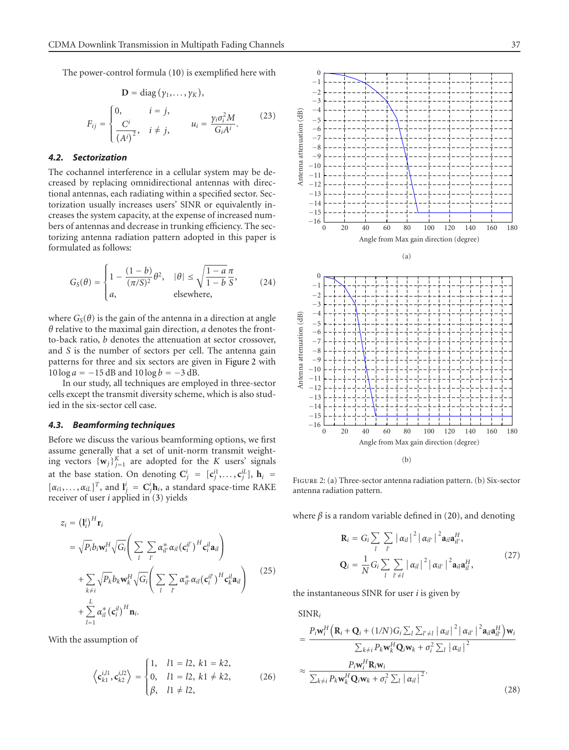The power-control formula [\(10\)](#page-3-4) is exemplified here with

$$
\mathbf{D} = \text{diag}(\gamma_1, \dots, \gamma_K),
$$
  

$$
F_{ij} = \begin{cases} 0, & i = j, \\ \frac{C^i}{(A^i)^2}, & i \neq j, \end{cases} \qquad u_i = \frac{\gamma_i \sigma_i^2 M}{G_i A^i}.
$$
 (23)

## *4.2. Sectorization*

The cochannel interference in a cellular system may be decreased by replacing omnidirectional antennas with directional antennas, each radiating within a specified sector. Sectorization usually increases users' SINR or equivalently increases the system capacity, at the expense of increased numbers of antennas and decrease in trunking efficiency. The sectorizing antenna radiation pattern adopted in this paper is formulated as follows:

$$
G_S(\theta) = \begin{cases} 1 - \frac{(1-b)}{(\pi/S)^2} \theta^2, & |\theta| \le \sqrt{\frac{1-a}{1-b}} \frac{\pi}{S}, \\ a, & \text{elsewhere,} \end{cases}
$$
 (24)

where  $G_S(\theta)$  is the gain of the antenna in a direction at angle *θ* relative to the maximal gain direction, *a* denotes the frontto-back ratio, *b* denotes the attenuation at sector crossover, and *S* is the number of sectors per cell. The antenna gain patterns for three and six sectors are given in [Figure 2](#page-5-0) with  $10 \log a = -15 \, \text{dB}$  and  $10 \log b = -3 \, \text{dB}$ .

In our study, all techniques are employed in three-sector cells except the transmit diversity scheme, which is also studied in the six-sector cell case.

#### *4.3. Beamforming techniques*

Before we discuss the various beamforming options, we first assume generally that a set of unit-norm transmit weighting vectors  $\{w_j\}_{j=1}^K$  are adopted for the *K* users' signals at the base station. On denoting  $C_j^i = [c_j^{i1}, \ldots, c_j^{iL}]$ ,  $h_i =$  $[\alpha_{i1}, \dots, \alpha_{iL}]^T$ , and  $\mathbf{l}_j^i = \mathbf{C}_j^i \mathbf{h}_i$ , a standard space-time RAKE receiver of user *i* applied in [\(3\)](#page-2-1) yields

$$
z_{i} = (I_{i}^{i})^{H} \mathbf{r}_{i}
$$
  
\n
$$
= \sqrt{P_{i}} b_{i} \mathbf{w}_{i}^{H} \sqrt{G_{i}} \Bigg( \sum_{l} \sum_{l'} \alpha_{il'}^{*} \alpha_{il} (\mathbf{c}_{i}^{il'})^{H} \mathbf{c}_{i}^{il} \mathbf{a}_{il} \Bigg)
$$
  
\n
$$
+ \sum_{k \neq i} \sqrt{P_{k}} b_{k} \mathbf{w}_{k}^{H} \sqrt{G_{i}} \Bigg( \sum_{l} \sum_{l'} \alpha_{il'}^{*} \alpha_{il} (\mathbf{c}_{i}^{il'})^{H} \mathbf{c}_{k}^{il} \mathbf{a}_{il} \Bigg)
$$
  
\n
$$
+ \sum_{l=1}^{L} \alpha_{il}^{*} (\mathbf{c}_{i}^{il})^{H} \mathbf{n}_{i}.
$$
  
\n(25)

With the assumption of

$$
\left\langle \mathbf{c}_{k1}^{i,l1}, \mathbf{c}_{k2}^{i,l2} \right\rangle = \begin{cases} 1, & l1 = l2, k1 = k2, \\ 0, & l1 = l2, k1 \neq k2, \\ \beta, & l1 \neq l2, \end{cases}
$$
 (26)





<span id="page-5-0"></span>Figure 2: (a) Three-sector antenna radiation pattern. (b) Six-sector antenna radiation pattern.

where  $\beta$  is a random variable defined in [\(20\)](#page-4-2), and denoting

$$
\mathbf{R}_{i} = G_{i} \sum_{l} \sum_{l'} |\alpha_{il}|^{2} |\alpha_{il'}|^{2} \mathbf{a}_{il} \mathbf{a}_{il'}^{H},
$$
\n
$$
\mathbf{Q}_{i} = \frac{1}{N} G_{i} \sum_{l} \sum_{l' \neq l} |\alpha_{il}|^{2} |\alpha_{il'}|^{2} \mathbf{a}_{il} \mathbf{a}_{il}^{H},
$$
\n(27)

the instantaneous SINR for user *i* is given by

SINR*<sup>i</sup>*

<span id="page-5-1"></span>
$$
= \frac{P_i \mathbf{w}_i^H \Big( \mathbf{R}_i + \mathbf{Q}_i + (1/N) G_i \sum_l \sum_{l' \neq l} |\alpha_{il}|^2 |\alpha_{il'}|^2 \mathbf{a}_{il} \mathbf{a}_{il'}^H \Big) \mathbf{w}_i}{\sum_{k \neq i} P_k \mathbf{w}_k^H \mathbf{Q}_i \mathbf{w}_k + \sigma_i^2 \sum_l |\alpha_{il}|^2}
$$

$$
\approx \frac{P_i \mathbf{w}_i^H \mathbf{R}_i \mathbf{w}_i}{\sum_{k \neq i} P_k \mathbf{w}_k^H \mathbf{Q}_i \mathbf{w}_k + \sigma_i^2 \sum_l |\alpha_{il}|^2}.
$$
(28)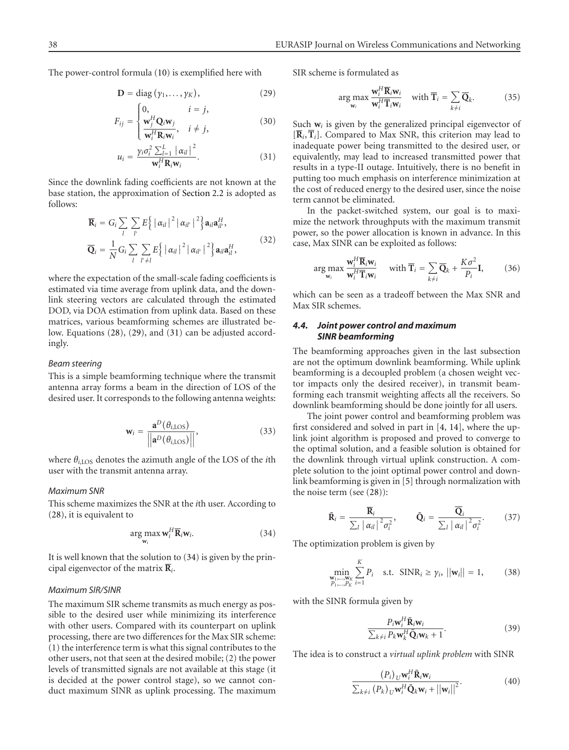The power-control formula [\(10\)](#page-3-4) is exemplified here with

<span id="page-6-0"></span>
$$
\mathbf{D} = \text{diag}(\gamma_1, \dots, \gamma_K), \tag{29}
$$

$$
F_{ij} = \begin{cases} 0, & i = j, \\ \frac{\mathbf{w}_j^H \mathbf{Q}_i \mathbf{w}_j}{\mathbf{w}_i^H \mathbf{R}_i \mathbf{w}_i}, & i \neq j, \end{cases}
$$
(30)

<span id="page-6-1"></span>
$$
u_{i} = \frac{\gamma_{i}\sigma_{i}^{2} \sum_{l=1}^{L} |\alpha_{il}|^{2}}{\mathbf{w}_{i}^{H} \mathbf{R}_{i} \mathbf{w}_{i}}.
$$
 (31)

Since the downlink fading coefficients are not known at the base station, the approximation of [Section 2.2](#page-2-3) is adopted as follows:

$$
\overline{\mathbf{R}}_{i} = G_{i} \sum_{l} \sum_{l'} E\left\{ \left| \alpha_{il} \right|^{2} \left| \alpha_{il'} \right|^{2} \right\} \mathbf{a}_{il} \mathbf{a}_{il'}^{H},
$$
\n
$$
\overline{\mathbf{Q}}_{i} = \frac{1}{N} G_{i} \sum_{l} \sum_{l' \neq l} E\left\{ \left| \alpha_{il} \right|^{2} \left| \alpha_{il'} \right|^{2} \right\} \mathbf{a}_{il} \mathbf{a}_{il}^{H},
$$
\n(32)

where the expectation of the small-scale fading coefficients is estimated via time average from uplink data, and the downlink steering vectors are calculated through the estimated DOD, via DOA estimation from uplink data. Based on these matrices, various beamforming schemes are illustrated below. Equations [\(28\)](#page-5-1), [\(29\)](#page-6-0), and [\(31\)](#page-6-1) can be adjusted accordingly.

## *Beam steering*

This is a simple beamforming technique where the transmit antenna array forms a beam in the direction of LOS of the desired user. It corresponds to the following antenna weights:

$$
\mathbf{w}_{i} = \frac{\mathbf{a}^{D}(\theta_{i, \text{LOS}})}{\left\|\mathbf{a}^{D}(\theta_{i, \text{LOS}})\right\|},\tag{33}
$$

where  $\theta_{i,LOS}$  denotes the azimuth angle of the LOS of the *i*th user with the transmit antenna array.

#### *Maximum SNR*

<span id="page-6-2"></span>This scheme maximizes the SNR at the *i*th user. According to [\(28\)](#page-5-1), it is equivalent to

$$
\underset{\mathbf{w}_i}{\arg \max \mathbf{w}_i^H \overline{\mathbf{R}}_i \mathbf{w}_i. \tag{34}
$$

It is well known that the solution to [\(34\)](#page-6-2) is given by the principal eigenvector of the matrix  $\overline{\mathbf{R}}_i$ .

## *Maximum SIR/SINR*

The maximum SIR scheme transmits as much energy as possible to the desired user while minimizing its interference with other users. Compared with its counterpart on uplink processing, there are two differences for the Max SIR scheme: (1) the interference term is what this signal contributes to the other users, not that seen at the desired mobile; (2) the power levels of transmitted signals are not available at this stage (it is decided at the power control stage), so we cannot conduct maximum SINR as uplink processing. The maximum

SIR scheme is formulated as

$$
\arg\max_{\mathbf{w}_i} \frac{\mathbf{w}_i^H \overline{\mathbf{R}}_i \mathbf{w}_i}{\mathbf{w}_i^H \overline{\mathbf{T}}_i \mathbf{w}_i} \quad \text{with } \overline{\mathbf{T}}_i = \sum_{k \neq i} \overline{\mathbf{Q}}_k.
$$
 (35)

Such  $w_i$  is given by the generalized principal eigenvector of  $[\overline{\mathbf{R}}_i, \overline{\mathbf{T}}_i]$ . Compared to Max SNR, this criterion may lead to inadequate power being transmitted to the desired user, or equivalently, may lead to increased transmitted power that results in a type-II outage. Intuitively, there is no benefit in putting too much emphasis on interference minimization at the cost of reduced energy to the desired user, since the noise term cannot be eliminated.

In the packet-switched system, our goal is to maximize the network throughputs with the maximum transmit power, so the power allocation is known in advance. In this case, Max SINR can be exploited as follows:

$$
\underset{\mathbf{w}_i}{\arg \max} \frac{\mathbf{w}_i^H \overline{\mathbf{R}}_i \mathbf{w}_i}{\mathbf{w}_i^H \overline{\mathbf{T}}_i \mathbf{w}_i} \quad \text{with } \overline{\mathbf{T}}_i = \sum_{k \neq i} \overline{\mathbf{Q}}_k + \frac{K \sigma^2}{P_i} \mathbf{I}, \quad (36)
$$

which can be seen as a tradeoff between the Max SNR and Max SIR schemes.

## *4.4. Joint power control and maximum SINR beamforming*

The beamforming approaches given in the last subsection are not the optimum downlink beamforming. While uplink beamforming is a decoupled problem (a chosen weight vector impacts only the desired receiver), in transmit beamforming each transmit weighting affects all the receivers. So downlink beamforming should be done jointly for all users.

The joint power control and beamforming problem was first considered and solved in part in [\[4,](#page-12-3) [14\]](#page-13-6), where the uplink joint algorithm is proposed and proved to converge to the optimal solution, and a feasible solution is obtained for the downlink through virtual uplink construction. A complete solution to the joint optimal power control and downlink beamforming is given in [\[5\]](#page-12-4) through normalization with the noise term (see [\(28\)](#page-5-1)):

$$
\tilde{\mathbf{R}}_i = \frac{\overline{\mathbf{R}}_i}{\sum_l |\alpha_{il}|^2 \sigma_i^2}, \qquad \tilde{\mathbf{Q}}_i = \frac{\overline{\mathbf{Q}}_i}{\sum_l |\alpha_{il}|^2 \sigma_i^2}.
$$
 (37)

The optimization problem is given by

$$
\min_{\substack{\mathbf{w}_1, \dots, \mathbf{w}_K \\ P_1, \dots, P_K}} \sum_{i=1}^K P_i \quad \text{s.t. } \text{SINR}_i \ge \gamma_i, \ ||\mathbf{w}_i|| = 1, \tag{38}
$$

with the SINR formula given by

$$
\frac{P_i \mathbf{w}_i^H \tilde{\mathbf{R}}_i \mathbf{w}_i}{\sum_{k \neq i} P_k \mathbf{w}_k^H \tilde{\mathbf{Q}}_i \mathbf{w}_k + 1}.
$$
\n(39)

The idea is to construct a *virtual uplink problem* with SINR

$$
\frac{\left(P_i\right)_U \mathbf{w}_i^H \tilde{\mathbf{R}}_i \mathbf{w}_i}{\sum_{k \neq i} \left(P_k\right)_U \mathbf{w}_i^H \tilde{\mathbf{Q}}_k \mathbf{w}_i + \left|\left|\mathbf{w}_i\right|\right|^2}.
$$
\n(40)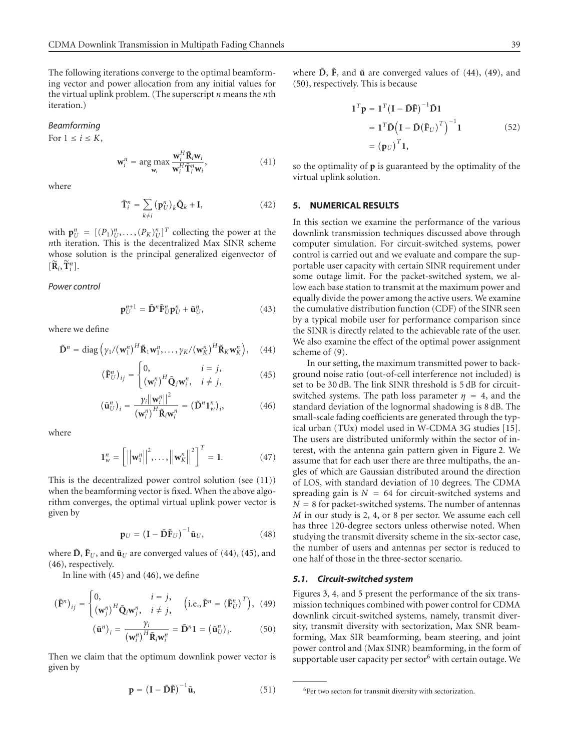The following iterations converge to the optimal beamforming vector and power allocation from any initial values for the virtual uplink problem. (The superscript *n* means the *n*th iteration.)

*Beamforming*

For  $1 \leq i \leq K$ ,

$$
\mathbf{w}_{i}^{n} = \arg \max_{\mathbf{w}_{i}} \frac{\mathbf{w}_{i}^{H} \tilde{\mathbf{R}}_{i} \mathbf{w}_{i}}{\mathbf{w}_{i}^{H} \tilde{\mathbf{T}}_{i}^{n} \mathbf{w}_{i}},
$$
(41)

<span id="page-7-0"></span>**w***H*

where

$$
\tilde{\mathbf{T}}_i^n = \sum_{k \neq i} (\mathbf{p}_U^n)_k \tilde{\mathbf{Q}}_k + \mathbf{I},\tag{42}
$$

with  $\mathbf{p}_U^n = [(P_1)_{U}^n, \dots, (P_K)_{U}^n]^T$  collecting the power at the *n*th iteration. This is the decentralized Max SINR scheme whose solution is the principal generalized eigenvector of  $[\widetilde{\mathbf{R}}_i, \widetilde{\mathbf{T}}_i^n]$ .

*Power control*

<span id="page-7-2"></span><span id="page-7-1"></span>
$$
\mathbf{p}_U^{n+1} = \tilde{\mathbf{D}}^n \tilde{\mathbf{F}}_U^n \mathbf{p}_U^n + \tilde{\mathbf{u}}_U^n, \tag{43}
$$

where we define

$$
\tilde{\mathbf{D}}^n = \text{diag}\left(\gamma_1/(\mathbf{w}_1^n)^H \tilde{\mathbf{R}}_1 \mathbf{w}_1^n, \dots, \gamma_K/(\mathbf{w}_K^n)^H \tilde{\mathbf{R}}_K \mathbf{w}_K^n\right), \quad (44)
$$

$$
\left(\tilde{\mathbf{F}}_{U}^{n}\right)_{ij} = \begin{cases} 0, & i = j, \\ \left(\mathbf{w}_{i}^{n}\right)^{H} \tilde{\mathbf{Q}}_{j} \mathbf{w}_{i}^{n}, & i \neq j, \end{cases}
$$
\n(45)

<span id="page-7-3"></span>
$$
\left(\tilde{\mathbf{u}}_{U}^{n}\right)_{i} = \frac{\gamma_{i}||\mathbf{w}_{i}^{n}||^{2}}{\left(\mathbf{w}_{i}^{n}\right)^{H}\tilde{\mathbf{R}}_{i}\mathbf{w}_{i}^{n}} = \left(\tilde{\mathbf{D}}^{n}\mathbf{1}_{w}^{n}\right)_{i},\tag{46}
$$

where

$$
\mathbf{1}_w^n = \left[ \left| \left| \mathbf{w}_1^n \right| \right|^2, \dots, \left| \left| \mathbf{w}_K^n \right| \right|^2 \right]^T = 1. \tag{47}
$$

This is the decentralized power control solution (see [\(11\)](#page-4-3)) when the beamforming vector is fixed. When the above algorithm converges, the optimal virtual uplink power vector is given by

<span id="page-7-4"></span>
$$
\mathbf{p}_U = \left(\mathbf{I} - \tilde{\mathbf{D}} \tilde{\mathbf{F}}_U\right)^{-1} \tilde{\mathbf{u}}_U, \tag{48}
$$

where  $\tilde{\mathbf{D}}, \tilde{\mathbf{F}}_U$ , and  $\tilde{\mathbf{u}}_U$  are converged values of [\(44\)](#page-7-1), [\(45\)](#page-7-2), and [\(46\)](#page-7-3), respectively.

In line with [\(45\)](#page-7-2) and [\(46\)](#page-7-3), we define

$$
\left(\tilde{\mathbf{F}}^{n}\right)_{ij} = \begin{cases} 0, & i = j, \\ \left(\mathbf{w}_{j}^{n}\right)^{H} \tilde{\mathbf{Q}}_{i} \mathbf{w}_{j}^{n}, & i \neq j, \end{cases} \quad \left(\text{i.e., } \tilde{\mathbf{F}}^{n} = \left(\tilde{\mathbf{F}}_{U}^{n}\right)^{T}\right), \tag{49}
$$
\n
$$
\left(\tilde{\mathbf{u}}^{n}\right)_{i} = \frac{\gamma_{i}}{\left(\mu_{i} n\right)^{H} \tilde{\mathbf{n}} \left(\mu_{i} n\right)^{T}} = \tilde{\mathbf{D}}^{n} \mathbf{1} = \left(\tilde{\mathbf{u}}_{U}^{n}\right)_{i}. \tag{50}
$$

$$
\left(\tilde{\mathbf{u}}^{n}\right)_{i} = \frac{\gamma_{i}}{\left(\mathbf{w}_{i}^{n}\right)^{H} \tilde{\mathbf{R}}_{i} \mathbf{w}_{i}^{n}} = \tilde{\mathbf{D}}^{n} \mathbf{1} = \left(\tilde{\mathbf{u}}_{U}^{n}\right)_{i}.
$$
 (50)

Then we claim that the optimum downlink power vector is given by

<span id="page-7-5"></span>
$$
\mathbf{p} = \left(\mathbf{I} - \tilde{\mathbf{D}}\tilde{\mathbf{F}}\right)^{-1}\tilde{\mathbf{u}},\tag{51}
$$

where  $\tilde{D}$ ,  $\tilde{F}$ , and  $\tilde{u}$  are converged values of  $(44)$ ,  $(49)$ , and [\(50\)](#page-7-5), respectively. This is because

$$
\mathbf{1}^{T}\mathbf{p} = \mathbf{1}^{T}(\mathbf{I} - \tilde{\mathbf{D}}\tilde{\mathbf{F}})^{-1}\tilde{\mathbf{D}}\mathbf{1}
$$
  
=\mathbf{1}^{T}\tilde{\mathbf{D}}(\mathbf{I} - \tilde{\mathbf{D}}(\tilde{\mathbf{F}}\_{U})^{T})^{-1}\mathbf{1} (52)  
=\left(\mathbf{p}\_{U}\right)^{T}\mathbf{1},

so the optimality of **p** is guaranteed by the optimality of the virtual uplink solution.

## **5. NUMERICAL RESULTS**

In this section we examine the performance of the various downlink transmission techniques discussed above through computer simulation. For circuit-switched systems, power control is carried out and we evaluate and compare the supportable user capacity with certain SINR requirement under some outage limit. For the packet-switched system, we allow each base station to transmit at the maximum power and equally divide the power among the active users. We examine the cumulative distribution function (CDF) of the SINR seen by a typical mobile user for performance comparison since the SINR is directly related to the achievable rate of the user. We also examine the effect of the optimal power assignment scheme of [\(9\)](#page-3-5).

In our setting, the maximum transmitted power to background noise ratio (out-of-cell interference not included) is set to be 30 dB. The link SINR threshold is 5 dB for circuitswitched systems. The path loss parameter  $\eta = 4$ , and the standard deviation of the lognormal shadowing is 8 dB. The small-scale fading coefficients are generated through the typical urban (TUx) model used in W-CDMA 3G studies [\[15](#page-13-7)]. The users are distributed uniformly within the sector of interest, with the antenna gain pattern given in [Figure 2.](#page-5-0) We assume that for each user there are three multipaths, the angles of which are Gaussian distributed around the direction of LOS, with standard deviation of 10 degrees. The CDMA spreading gain is  $N = 64$  for circuit-switched systems and  $N = 8$  for packet-switched systems. The number of antennas *M* in our study is 2, 4, or 8 per sector. We assume each cell has three 120-degree sectors unless otherwise noted. When studying the transmit diversity scheme in the six-sector case, the number of users and antennas per sector is reduced to one half of those in the three-sector scenario.

#### *5.1. Circuit-switched system*

Figures [3,](#page-8-0) [4,](#page-8-1) and [5](#page-7-6) present the performance of the six transmission techniques combined with power control for CDMA downlink circuit-switched systems, namely, transmit diversity, transmit diversity with sectorization, Max SNR beamforming, Max SIR beamforming, beam steering, and joint power control and (Max SINR) beamforming, in the form of supportable user capacity per sector $6$  with certain outage. We

<span id="page-7-6"></span> $^6$  Per two sectors for transmit diversity with sectorization.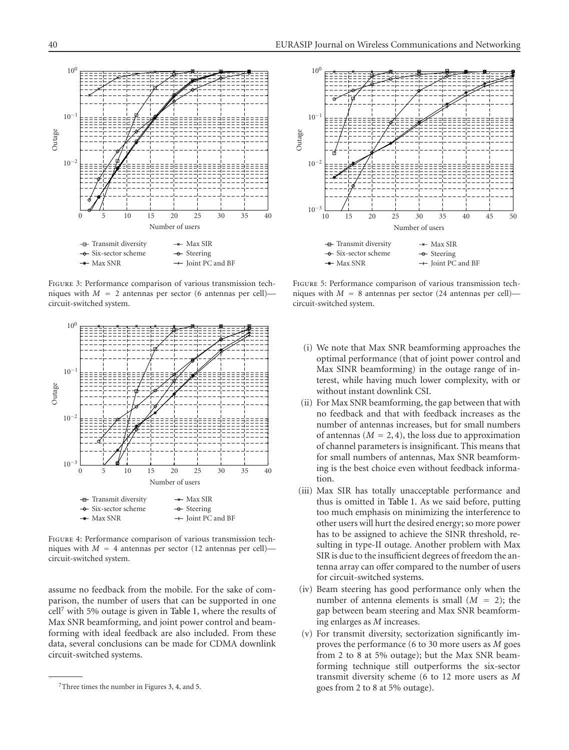

<span id="page-8-0"></span>Figure 3: Performance comparison of various transmission techniques with  $M = 2$  antennas per sector (6 antennas per cell)circuit-switched system.



<span id="page-8-1"></span>Figure 4: Performance comparison of various transmission techniques with *<sup>M</sup>* <sup>=</sup> 4 antennas per sector (12 antennas per cell) circuit-switched system.

assume no feedback from the mobile. For the sake of comparison, the number of users that can be supported in one cell<sup>7</sup> with 5% outage is given in [Table 1,](#page-9-0) where the results of Max SNR beamforming, and joint power control and beamforming with ideal feedback are also included. From these data, several conclusions can be made for CDMA downlink circuit-switched systems.



Figure 5: Performance comparison of various transmission techniques with  $M = 8$  antennas per sector (24 antennas per cell) circuit-switched system.

- (i) We note that Max SNR beamforming approaches the optimal performance (that of joint power control and Max SINR beamforming) in the outage range of interest, while having much lower complexity, with or without instant downlink CSI.
- (ii) For Max SNR beamforming, the gap between that with no feedback and that with feedback increases as the number of antennas increases, but for small numbers of antennas  $(M = 2, 4)$ , the loss due to approximation of channel parameters is insignificant. This means that for small numbers of antennas, Max SNR beamforming is the best choice even without feedback information.
- (iii) Max SIR has totally unacceptable performance and thus is omitted in [Table 1.](#page-9-0) As we said before, putting too much emphasis on minimizing the interference to other users will hurt the desired energy; so more power has to be assigned to achieve the SINR threshold, resulting in type-II outage. Another problem with Max SIR is due to the insufficient degrees of freedom the antenna array can offer compared to the number of users for circuit-switched systems.
- (iv) Beam steering has good performance only when the number of antenna elements is small  $(M = 2)$ ; the gap between beam steering and Max SNR beamforming enlarges as *M* increases.
- (v) For transmit diversity, sectorization significantly improves the performance (6 to 30 more users as *M* goes from 2 to 8 at 5% outage); but the Max SNR beamforming technique still outperforms the six-sector transmit diversity scheme (6 to 12 more users as *M* goes from 2 to 8 at 5% outage).

<sup>7</sup>Three times the number in Figures [3,](#page-8-0) [4,](#page-8-1) and [5.](#page-7-6)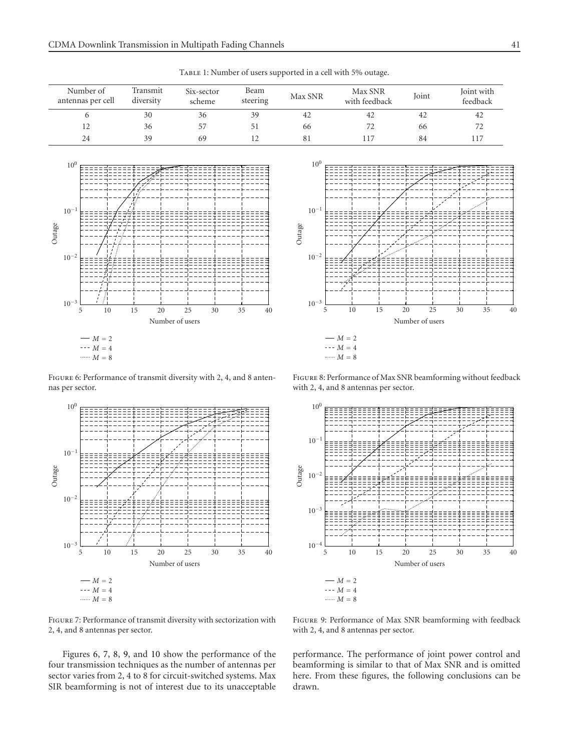| Number of<br>antennas per cell                                              | Transmit<br>diversity | Six-sector<br>scheme | Beam<br>steering | Max SNR                                                               | Max SNR<br>with feedback                     | Joint           | Joint with<br>feedback |  |
|-----------------------------------------------------------------------------|-----------------------|----------------------|------------------|-----------------------------------------------------------------------|----------------------------------------------|-----------------|------------------------|--|
| 6                                                                           | 30                    | 36                   | 39               | 42                                                                    | 42                                           | 42              | 42                     |  |
| 12                                                                          | 36                    | 57                   | 51               | 66                                                                    | 72                                           | 66              | 72                     |  |
| 24                                                                          | 39                    | 69                   | 12               | 81                                                                    | 117                                          | $\rm 84$        | 117                    |  |
| 10 <sup>0</sup><br>$10^{-1}$<br>Outage<br>$10^{-2}$<br>$10^{-3}$<br>10<br>5 | 15<br>20              | 25<br>30             | 35<br>40         | 10 <sup>0</sup><br>$10^{-1}$<br>Outage<br>$10^{-2}$<br>$10^{-3}$<br>5 | 7<br>10<br>15                                | 25<br>20        | 30<br>35<br>40         |  |
|                                                                             |                       | Number of users      |                  |                                                                       |                                              | Number of users |                        |  |
| — $M = 2$<br>$--- M = 4$<br>$\cdots$ $M = 8$                                |                       |                      |                  |                                                                       | — $M = 2$<br>$--- M = 4$<br>$\cdots$ $M = 8$ |                 |                        |  |

<span id="page-9-0"></span>TABLE 1: Number of users supported in a cell with 5% outage.

<span id="page-9-1"></span>Figure 6: Performance of transmit diversity with 2, 4, and 8 antennas per sector.



Number of users  $-M = 2$  $-- M = 4$  $\cdots\cdots$   $M$  =  $8$ 

<span id="page-9-2"></span>FIGURE 7: Performance of transmit diversity with sectorization with 2, 4, and 8 antennas per sector.

Figures [6,](#page-9-1) [7,](#page-9-2) [8,](#page-9-3) [9,](#page-9-4) and [10](#page-10-0) show the performance of the four transmission techniques as the number of antennas per sector varies from 2, 4 to 8 for circuit-switched systems. Max SIR beamforming is not of interest due to its unacceptable

<span id="page-9-4"></span>Figure 9: Performance of Max SNR beamforming with feedback with 2, 4, and 8 antennas per sector.

5 10 15 20 25 30 35 40

Figure 8: Performance of Max SNR beamforming without feedback

<span id="page-9-3"></span>with 2, 4, and 8 antennas per sector.

 $10<sup>0</sup>$ 

10−<sup>1</sup>

10−<sup>2</sup>

Outage

10−<sup>3</sup>

 $10<sup>′</sup>$ 

performance. The performance of joint power control and beamforming is similar to that of Max SNR and is omitted here. From these figures, the following conclusions can be drawn.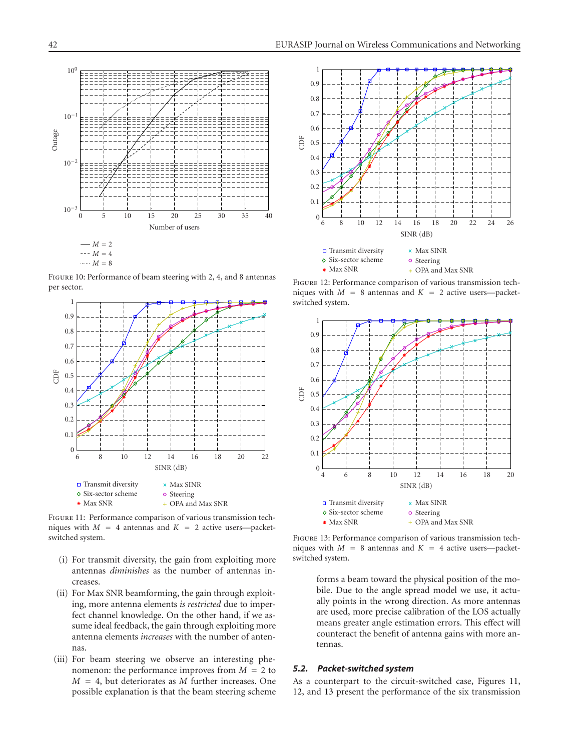

<span id="page-10-0"></span>Figure 10: Performance of beam steering with 2, 4, and 8 antennas per sector.



<span id="page-10-1"></span>Figure 11: Performance comparison of various transmission techniques with  $M = 4$  antennas and  $K = 2$  active users—packetswitched system.

- (i) For transmit diversity, the gain from exploiting more antennas *diminishes* as the number of antennas increases.
- (ii) For Max SNR beamforming, the gain through exploiting, more antenna elements *is restricted* due to imperfect channel knowledge. On the other hand, if we assume ideal feedback, the gain through exploiting more antenna elements *increases* with the number of antennas.
- (iii) For beam steering we observe an interesting phenomenon: the performance improves from  $M = 2$  to *<sup>M</sup>* <sup>=</sup> 4, but deteriorates as *<sup>M</sup>* further increases. One possible explanation is that the beam steering scheme



<span id="page-10-2"></span>Figure 12: Performance comparison of various transmission techniques with  $M = 8$  antennas and  $K = 2$  active users—packetswitched system.



<span id="page-10-3"></span>Figure 13: Performance comparison of various transmission techniques with  $M = 8$  antennas and  $K = 4$  active users—packetswitched system.

forms a beam toward the physical position of the mobile. Due to the angle spread model we use, it actually points in the wrong direction. As more antennas are used, more precise calibration of the LOS actually means greater angle estimation errors. This effect will counteract the benefit of antenna gains with more antennas.

## *5.2. Packet-switched system*

As a counterpart to the circuit-switched case, Figures [11,](#page-10-1) [12,](#page-10-2) and [13](#page-10-3) present the performance of the six transmission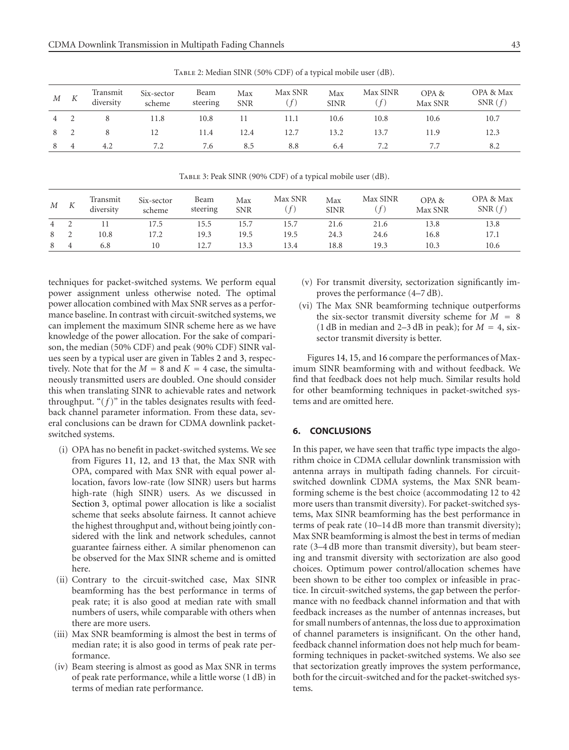| М              | K | Transmit<br>diversity | Six-sector<br>scheme | Beam<br>steering | Max<br><b>SNR</b> | Max SNR | Max<br><b>SINR</b> | Max SINR | OPA &<br>Max SNR | OPA & Max<br>SNR(f) |
|----------------|---|-----------------------|----------------------|------------------|-------------------|---------|--------------------|----------|------------------|---------------------|
| $\overline{4}$ |   |                       | 11.8                 | 10.8             |                   | 11.1    | 10.6               | 10.8     | 10.6             | 10.7                |
| 8              |   | 8                     |                      | 11.4             | 12.4              | 12.7    | 13.2               | 13.7     | 11.9             | 12.3                |
|                |   | 4.2                   | 7.2                  | 7.6              | 8.5               | 8.8     | 6.4                |          |                  | 8.2                 |

<span id="page-11-1"></span>Table 2: Median SINR (50% CDF) of a typical mobile user (dB).

<span id="page-11-2"></span>Table 3: Peak SINR (90% CDF) of a typical mobile user (dB).

| M              |   | Transmit<br>diversity | Six-sector<br>scheme | Beam<br>steering | Max<br><b>SNR</b> | Max SNR | Max<br><b>SINR</b> | Max SINR | OPA &<br>Max SNR | OPA & Max<br>SNR(f) |
|----------------|---|-----------------------|----------------------|------------------|-------------------|---------|--------------------|----------|------------------|---------------------|
| $4\phantom{0}$ |   |                       | 17.5                 | 15.5             | 15.7              | 15.7    | 21.6               | 21.6     | 13.8             | 13.8                |
| 8              |   | 10.8                  | 17.2                 | 19.3             | 19.5              | 19.5    | 24.3               | 24.6     | 16.8             | 17.1                |
| 8              | Δ | 6.8                   | 10                   | 12.7             | 13.3              | .3.4    | 18.8               | 19.3     | 10.3             | 10.6                |

techniques for packet-switched systems. We perform equal power assignment unless otherwise noted. The optimal power allocation combined with Max SNR serves as a performance baseline. In contrast with circuit-switched systems, we can implement the maximum SINR scheme here as we have knowledge of the power allocation. For the sake of comparison, the median (50% CDF) and peak (90% CDF) SINR values seen by a typical user are given in Tables [2](#page-11-1) and [3,](#page-11-2) respectively. Note that for the  $M = 8$  and  $K = 4$  case, the simultaneously transmitted users are doubled. One should consider this when translating SINR to achievable rates and network throughput. " $(f)$ " in the tables designates results with feedback channel parameter information. From these data, several conclusions can be drawn for CDMA downlink packetswitched systems.

- (i) OPA has no benefit in packet-switched systems. We see from Figures [11,](#page-10-1) [12,](#page-10-2) and [13](#page-10-3) that, the Max SNR with OPA, compared with Max SNR with equal power allocation, favors low-rate (low SINR) users but harms high-rate (high SINR) users. As we discussed in [Section 3,](#page-3-0) optimal power allocation is like a socialist scheme that seeks absolute fairness. It cannot achieve the highest throughput and, without being jointly considered with the link and network schedules, cannot guarantee fairness either. A similar phenomenon can be observed for the Max SINR scheme and is omitted here.
- (ii) Contrary to the circuit-switched case, Max SINR beamforming has the best performance in terms of peak rate; it is also good at median rate with small numbers of users, while comparable with others when there are more users.
- (iii) Max SNR beamforming is almost the best in terms of median rate; it is also good in terms of peak rate performance.
- (iv) Beam steering is almost as good as Max SNR in terms of peak rate performance, while a little worse (1 dB) in terms of median rate performance.
- (v) For transmit diversity, sectorization significantly improves the performance (4–7 dB).
- (vi) The Max SNR beamforming technique outperforms the six-sector transmit diversity scheme for  $M = 8$ (1 dB in median and 2–3 dB in peak); for  $M = 4$ , sixsector transmit diversity is better.

Figures [14,](#page-12-7) [15,](#page-12-8) and [16](#page-12-9) compare the performances of Maximum SINR beamforming with and without feedback. We find that feedback does not help much. Similar results hold for other beamforming techniques in packet-switched systems and are omitted here.

## <span id="page-11-0"></span>**6. CONCLUSIONS**

In this paper, we have seen that traffic type impacts the algorithm choice in CDMA cellular downlink transmission with antenna arrays in multipath fading channels. For circuitswitched downlink CDMA systems, the Max SNR beamforming scheme is the best choice (accommodating 12 to 42 more users than transmit diversity). For packet-switched systems, Max SINR beamforming has the best performance in terms of peak rate (10–14 dB more than transmit diversity); Max SNR beamforming is almost the best in terms of median rate (3–4 dB more than transmit diversity), but beam steering and transmit diversity with sectorization are also good choices. Optimum power control/allocation schemes have been shown to be either too complex or infeasible in practice. In circuit-switched systems, the gap between the performance with no feedback channel information and that with feedback increases as the number of antennas increases, but for small numbers of antennas, the loss due to approximation of channel parameters is insignificant. On the other hand, feedback channel information does not help much for beamforming techniques in packet-switched systems. We also see that sectorization greatly improves the system performance, both for the circuit-switched and for the packet-switched systems.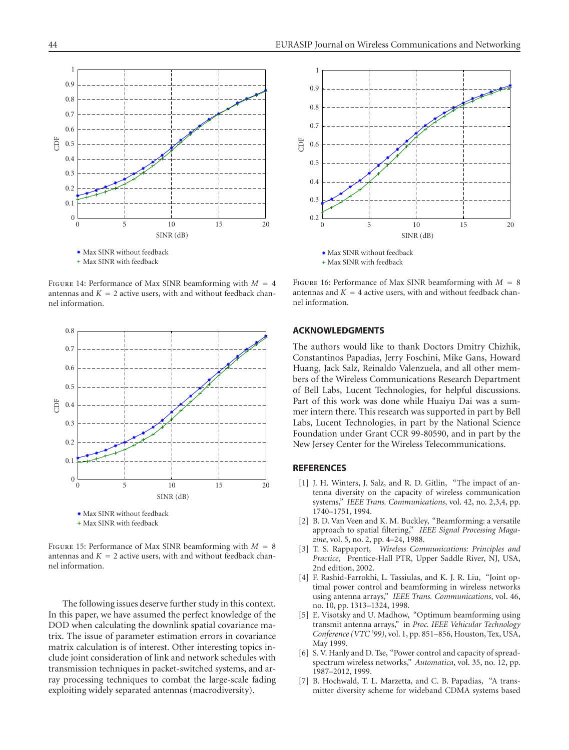

<span id="page-12-7"></span>Figure 14: Performance of Max SINR beamforming with *<sup>M</sup>* <sup>=</sup> <sup>4</sup> antennas and  $K = 2$  active users, with and without feedback channel information.



<span id="page-12-8"></span>Figure 15: Performance of Max SINR beamforming with *<sup>M</sup>* <sup>=</sup> <sup>8</sup> antennas and  $K = 2$  active users, with and without feedback channel information.

The following issues deserve further study in this context. In this paper, we have assumed the perfect knowledge of the DOD when calculating the downlink spatial covariance matrix. The issue of parameter estimation errors in covariance matrix calculation is of interest. Other interesting topics include joint consideration of link and network schedules with transmission techniques in packet-switched systems, and array processing techniques to combat the large-scale fading exploiting widely separated antennas (macrodiversity).



<span id="page-12-9"></span>Figure 16: Performance of Max SINR beamforming with *<sup>M</sup>* <sup>=</sup> <sup>8</sup> antennas and  $K = 4$  active users, with and without feedback channel information.

## **ACKNOWLEDGMENTS**

The authors would like to thank Doctors Dmitry Chizhik, Constantinos Papadias, Jerry Foschini, Mike Gans, Howard Huang, Jack Salz, Reinaldo Valenzuela, and all other members of the Wireless Communications Research Department of Bell Labs, Lucent Technologies, for helpful discussions. Part of this work was done while Huaiyu Dai was a summer intern there. This research was supported in part by Bell Labs, Lucent Technologies, in part by the National Science Foundation under Grant CCR 99-80590, and in part by the New Jersey Center for the Wireless Telecommunications.

# <span id="page-12-0"></span>**REFERENCES**

- [1] J. H. Winters, J. Salz, and R. D. Gitlin, "The impact of antenna diversity on the capacity of wireless communication systems," *IEEE Trans. Communications*, vol. 42, no. 2,3,4, pp. 1740–1751, 1994.
- <span id="page-12-1"></span>[2] B. D. Van Veen and K. M. Buckley, "Beamforming: a versatile approach to spatial filtering," *IEEE Signal Processing Magazine*, vol. 5, no. 2, pp. 4–24, 1988.
- <span id="page-12-2"></span>[3] T. S. Rappaport, *Wireless Communications: Principles and Practice*, Prentice-Hall PTR, Upper Saddle River, NJ, USA, 2nd edition, 2002.
- <span id="page-12-3"></span>[4] F. Rashid-Farrokhi, L. Tassiulas, and K. J. R. Liu, "Joint optimal power control and beamforming in wireless networks using antenna arrays," *IEEE Trans. Communications*, vol. 46, no. 10, pp. 1313–1324, 1998.
- <span id="page-12-4"></span>[5] E. Visotsky and U. Madhow, "Optimum beamforming using transmit antenna arrays," in *Proc. IEEE Vehicular Technology Conference (VTC '99)*, vol. 1, pp. 851–856, Houston, Tex, USA, May 1999.
- <span id="page-12-5"></span>[6] S. V. Hanly and D. Tse, "Power control and capacity of spreadspectrum wireless networks," *Automatica*, vol. 35, no. 12, pp. 1987–2012, 1999.
- <span id="page-12-6"></span>[7] B. Hochwald, T. L. Marzetta, and C. B. Papadias, "A transmitter diversity scheme for wideband CDMA systems based